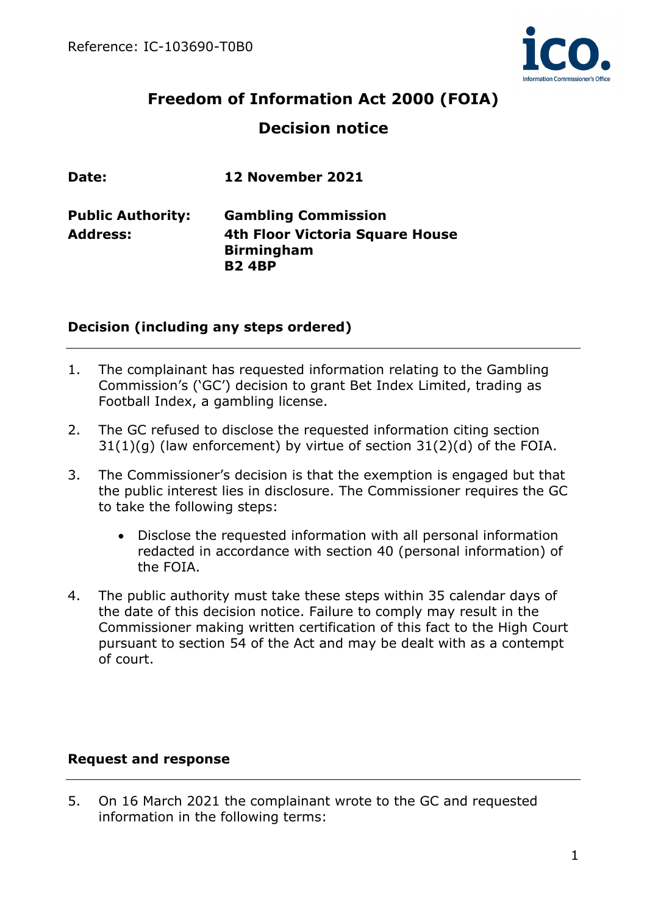

# **Freedom of Information Act 2000 (FOIA) Decision notice**

| Date:                    | 12 November 2021                                                     |
|--------------------------|----------------------------------------------------------------------|
| <b>Public Authority:</b> | <b>Gambling Commission</b>                                           |
| <b>Address:</b>          | 4th Floor Victoria Square House<br><b>Birmingham</b><br><b>B24BP</b> |

## **Decision (including any steps ordered)**

- 1. The complainant has requested information relating to the Gambling Commission's ('GC') decision to grant Bet Index Limited, trading as Football Index, a gambling license.
- 2. The GC refused to disclose the requested information citing section  $31(1)(q)$  (law enforcement) by virtue of section  $31(2)(d)$  of the FOIA.
- 3. The Commissioner's decision is that the exemption is engaged but that the public interest lies in disclosure. The Commissioner requires the GC to take the following steps:
	- Disclose the requested information with all personal information redacted in accordance with section 40 (personal information) of the FOIA.
- 4. The public authority must take these steps within 35 calendar days of the date of this decision notice. Failure to comply may result in the Commissioner making written certification of this fact to the High Court pursuant to section 54 of the Act and may be dealt with as a contempt of court.

## **Request and response**

5. On 16 March 2021 the complainant wrote to the GC and requested information in the following terms: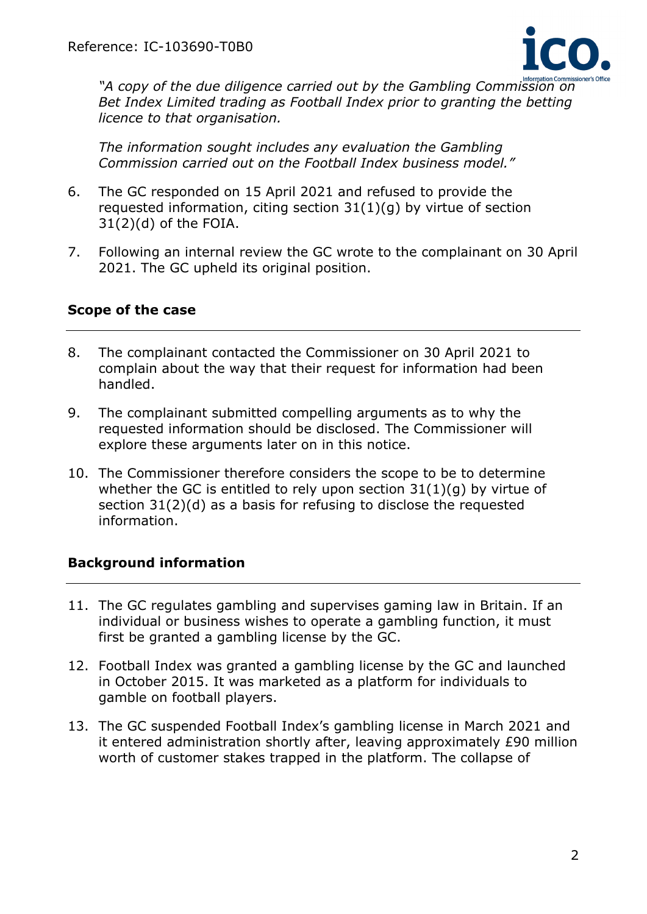

*"A copy of the due diligence carried out by the Gambling Commission on Bet Index Limited trading as Football Index prior to granting the betting licence to that organisation.* 

*The information sought includes any evaluation the Gambling Commission carried out on the Football Index business model."*

- 6. The GC responded on 15 April 2021 and refused to provide the requested information, citing section 31(1)(g) by virtue of section  $31(2)(d)$  of the FOIA.
- 7. Following an internal review the GC wrote to the complainant on 30 April 2021. The GC upheld its original position.

## **Scope of the case**

- 8. The complainant contacted the Commissioner on 30 April 2021 to complain about the way that their request for information had been handled.
- 9. The complainant submitted compelling arguments as to why the requested information should be disclosed. The Commissioner will explore these arguments later on in this notice.
- 10. The Commissioner therefore considers the scope to be to determine whether the GC is entitled to rely upon section  $31(1)(q)$  by virtue of section 31(2)(d) as a basis for refusing to disclose the requested information.

## **Background information**

- 11. The GC regulates gambling and supervises gaming law in Britain. If an individual or business wishes to operate a gambling function, it must first be granted a gambling license by the GC.
- 12. Football Index was granted a gambling license by the GC and launched in October 2015. It was marketed as a platform for individuals to gamble on football players.
- 13. The GC suspended Football Index's gambling license in March 2021 and it entered administration shortly after, leaving approximately £90 million worth of customer stakes trapped in the platform. The collapse of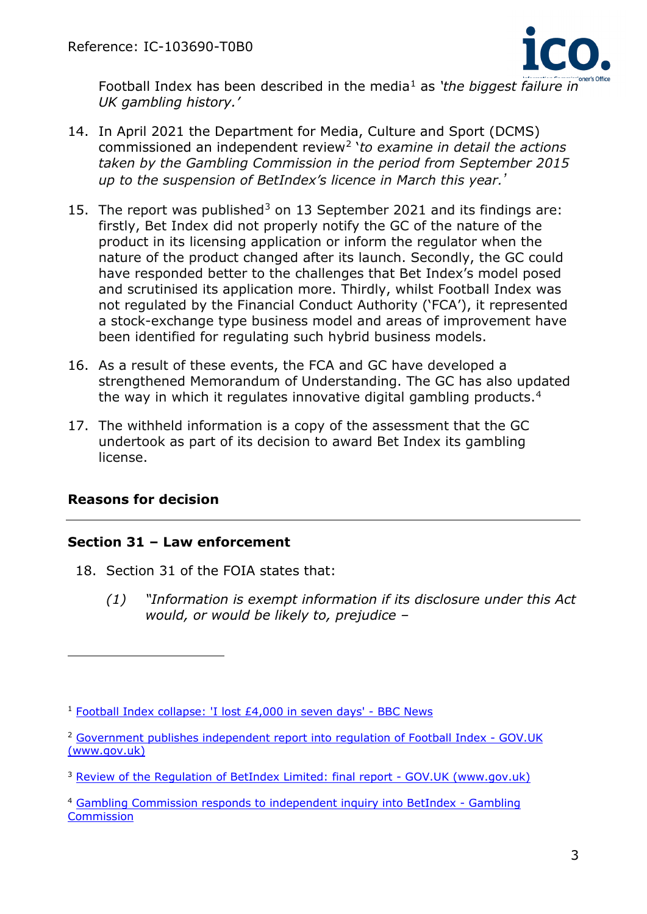

Football Index has been described in the media<sup>[1](#page-2-0)</sup> as 'the biggest failure in *UK gambling history.'*

- 14. In April 2021 the Department for Media, Culture and Sport (DCMS) commissioned an independent review[2](#page-2-1) '*to examine in detail the actions taken by the Gambling Commission in the period from September 2015 up to the suspension of BetIndex's licence in March this year.'*
- 15. The report was published<sup>[3](#page-2-2)</sup> on 13 September 2021 and its findings are: firstly, Bet Index did not properly notify the GC of the nature of the product in its licensing application or inform the regulator when the nature of the product changed after its launch. Secondly, the GC could have responded better to the challenges that Bet Index's model posed and scrutinised its application more. Thirdly, whilst Football Index was not regulated by the Financial Conduct Authority ('FCA'), it represented a stock-exchange type business model and areas of improvement have been identified for regulating such hybrid business models.
- 16. As a result of these events, the FCA and GC have developed a strengthened Memorandum of Understanding. The GC has also updated the way in which it regulates innovative digital gambling products.[4](#page-2-3)
- 17. The withheld information is a copy of the assessment that the GC undertook as part of its decision to award Bet Index its gambling license.

## **Reasons for decision**

#### **Section 31 – Law enforcement**

- 18. Section 31 of the FOIA states that:
	- *(1) "Information is exempt information if its disclosure under this Act would, or would be likely to, prejudice –*

<span id="page-2-0"></span><sup>1</sup> Football Index collapse: ['I lost £4,000 in seven days' -](https://www.bbc.co.uk/news/business-56401707) BBC News

<span id="page-2-1"></span><sup>2</sup> [Government publishes independent report into regulation of](https://www.gov.uk/government/news/government-publishes-independent-report-into-regulation-of-football-index) Football Index - GOV.UK [\(www.gov.uk\)](https://www.gov.uk/government/news/government-publishes-independent-report-into-regulation-of-football-index)

<span id="page-2-2"></span><sup>&</sup>lt;sup>3</sup> [Review of the Regulation of BetIndex Limited: final report -](https://www.gov.uk/government/publications/review-of-the-regulation-of-betindex-limited-final-report) GOV.UK (www.gov.uk)

<span id="page-2-3"></span><sup>4</sup> [Gambling Commission responds to independent inquiry into BetIndex -](https://www.gamblingcommission.gov.uk/news/article/gambling-commission-responds-to-independent-inquiry-into-betindex) Gambling **[Commission](https://www.gamblingcommission.gov.uk/news/article/gambling-commission-responds-to-independent-inquiry-into-betindex)**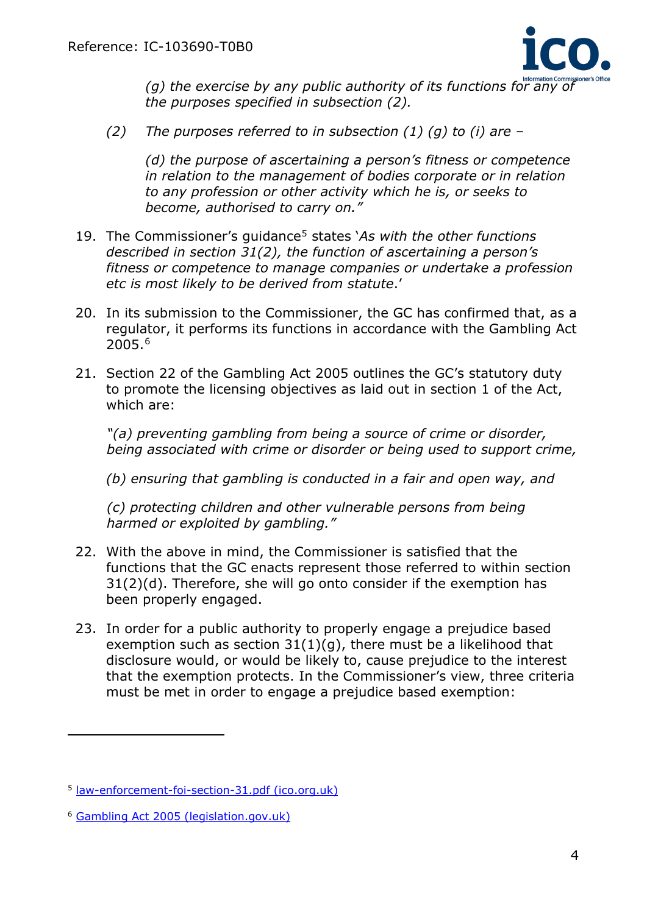

(g) the exercise by any public authority of its functions for any of *the purposes specified in subsection (2).*

*(2) The purposes referred to in subsection (1) (g) to (i) are –*

*(d) the purpose of ascertaining a person's fitness or competence in relation to the management of bodies corporate or in relation to any profession or other activity which he is, or seeks to become, authorised to carry on."*

- 19. The Commissioner's guidance[5](#page-3-0) states '*As with the other functions described in section 31(2), the function of ascertaining a person's fitness or competence to manage companies or undertake a profession etc is most likely to be derived from statute*.'
- 20. In its submission to the Commissioner, the GC has confirmed that, as a regulator, it performs its functions in accordance with the Gambling Act 2005.[6](#page-3-1)
- 21. Section 22 of the Gambling Act 2005 outlines the GC's statutory duty to promote the licensing objectives as laid out in section 1 of the Act, which are:

*"(a) preventing gambling from being a source of crime or disorder, being associated with crime or disorder or being used to support crime,* 

*(b) ensuring that gambling is conducted in a fair and open way, and*

*(c) protecting children and other vulnerable persons from being harmed or exploited by gambling."*

- 22. With the above in mind, the Commissioner is satisfied that the functions that the GC enacts represent those referred to within section 31(2)(d). Therefore, she will go onto consider if the exemption has been properly engaged.
- 23. In order for a public authority to properly engage a prejudice based exemption such as section  $31(1)(q)$ , there must be a likelihood that disclosure would, or would be likely to, cause prejudice to the interest that the exemption protects. In the Commissioner's view, three criteria must be met in order to engage a prejudice based exemption:

<span id="page-3-0"></span><sup>5</sup> [law-enforcement-foi-section-31.pdf \(ico.org.uk\)](https://ico.org.uk/media/for-organisations/documents/1207/law-enforcement-foi-section-31.pdf)

<span id="page-3-1"></span><sup>6</sup> [Gambling Act 2005 \(legislation.gov.uk\)](https://www.legislation.gov.uk/ukpga/2005/19/contents)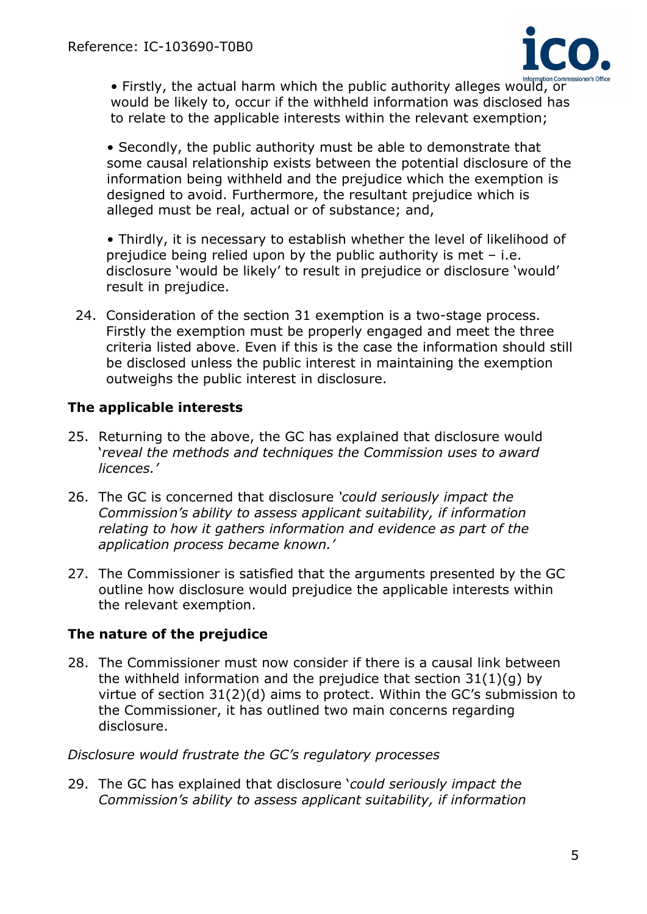

• Firstly, the actual harm which the public authority alleges would, or would be likely to, occur if the withheld information was disclosed has to relate to the applicable interests within the relevant exemption;

• Secondly, the public authority must be able to demonstrate that some causal relationship exists between the potential disclosure of the information being withheld and the prejudice which the exemption is designed to avoid. Furthermore, the resultant prejudice which is alleged must be real, actual or of substance; and,

• Thirdly, it is necessary to establish whether the level of likelihood of prejudice being relied upon by the public authority is met  $-$  i.e. disclosure 'would be likely' to result in prejudice or disclosure 'would' result in prejudice.

24. Consideration of the section 31 exemption is a two-stage process. Firstly the exemption must be properly engaged and meet the three criteria listed above. Even if this is the case the information should still be disclosed unless the public interest in maintaining the exemption outweighs the public interest in disclosure.

## **The applicable interests**

- 25. Returning to the above, the GC has explained that disclosure would '*reveal the methods and techniques the Commission uses to award licences.'*
- 26. The GC is concerned that disclosure *'could seriously impact the Commission's ability to assess applicant suitability, if information relating to how it gathers information and evidence as part of the application process became known.'*
- 27. The Commissioner is satisfied that the arguments presented by the GC outline how disclosure would prejudice the applicable interests within the relevant exemption.

# **The nature of the prejudice**

28. The Commissioner must now consider if there is a causal link between the withheld information and the prejudice that section 31(1)(g) by virtue of section 31(2)(d) aims to protect. Within the GC's submission to the Commissioner, it has outlined two main concerns regarding disclosure.

#### *Disclosure would frustrate the GC's regulatory processes*

29. The GC has explained that disclosure '*could seriously impact the Commission's ability to assess applicant suitability, if information*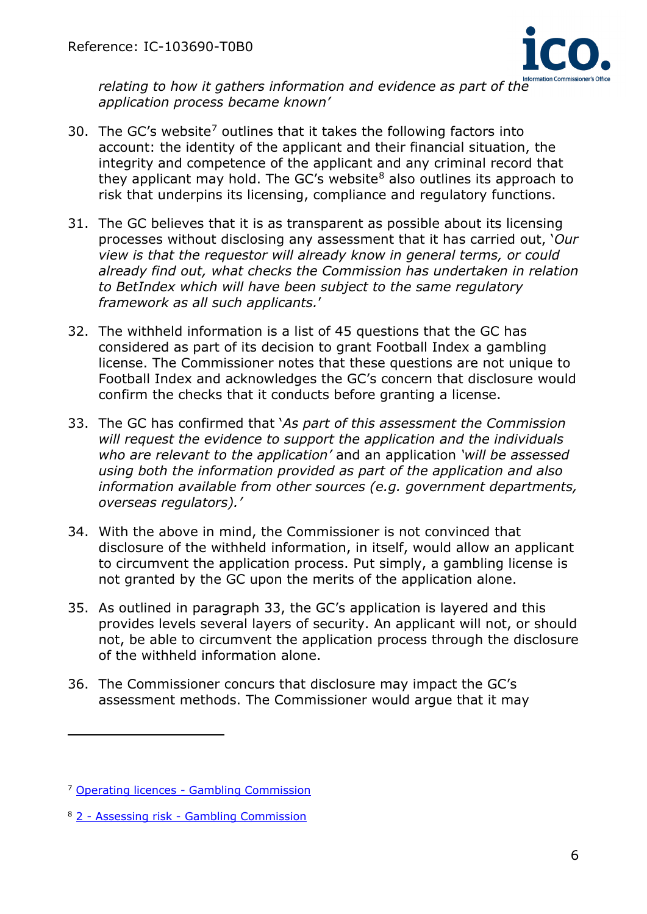

*relating to how it gathers information and evidence as part of the application process became known'*

- 30. The GC's website<sup>[7](#page-5-0)</sup> outlines that it takes the following factors into account: the identity of the applicant and their financial situation, the integrity and competence of the applicant and any criminal record that they applicant may hold. The GC's website<sup>[8](#page-5-1)</sup> also outlines its approach to risk that underpins its licensing, compliance and regulatory functions.
- 31. The GC believes that it is as transparent as possible about its licensing processes without disclosing any assessment that it has carried out, '*Our view is that the requestor will already know in general terms, or could already find out, what checks the Commission has undertaken in relation to BetIndex which will have been subject to the same regulatory framework as all such applicants.*'
- 32. The withheld information is a list of 45 questions that the GC has considered as part of its decision to grant Football Index a gambling license. The Commissioner notes that these questions are not unique to Football Index and acknowledges the GC's concern that disclosure would confirm the checks that it conducts before granting a license.
- 33. The GC has confirmed that '*As part of this assessment the Commission will request the evidence to support the application and the individuals who are relevant to the application'* and an application *'will be assessed using both the information provided as part of the application and also information available from other sources (e.g. government departments, overseas regulators).'*
- 34. With the above in mind, the Commissioner is not convinced that disclosure of the withheld information, in itself, would allow an applicant to circumvent the application process. Put simply, a gambling license is not granted by the GC upon the merits of the application alone.
- 35. As outlined in paragraph 33, the GC's application is layered and this provides levels several layers of security. An applicant will not, or should not, be able to circumvent the application process through the disclosure of the withheld information alone.
- 36. The Commissioner concurs that disclosure may impact the GC's assessment methods. The Commissioner would argue that it may

<span id="page-5-0"></span><sup>7</sup> Operating licences - [Gambling Commission](https://www.gamblingcommission.gov.uk/licensees-and-businesses/guide/operating-licences)

<span id="page-5-1"></span><sup>8</sup> 2 - Assessing risk - [Gambling Commission](https://www.gamblingcommission.gov.uk/policy/licensing-compliance-and-enforcement-under-the-gambling-act-2005/2-assessing-risk#changes)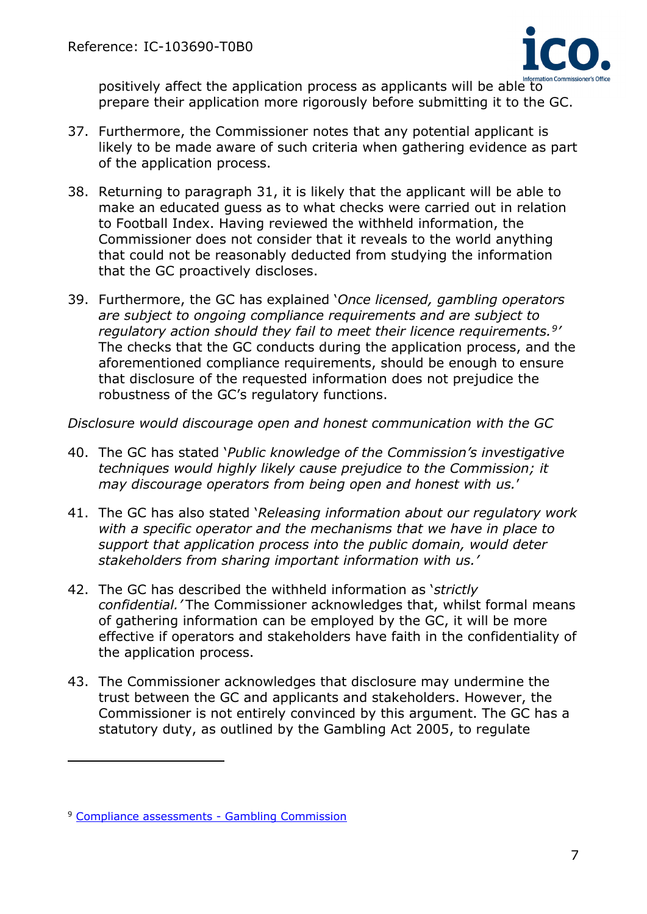

positively affect the application process as applicants will be able to Information Co prepare their application more rigorously before submitting it to the GC.

- 37. Furthermore, the Commissioner notes that any potential applicant is likely to be made aware of such criteria when gathering evidence as part of the application process.
- 38. Returning to paragraph 31, it is likely that the applicant will be able to make an educated guess as to what checks were carried out in relation to Football Index. Having reviewed the withheld information, the Commissioner does not consider that it reveals to the world anything that could not be reasonably deducted from studying the information that the GC proactively discloses.
- 39. Furthermore, the GC has explained '*Once licensed, gambling operators are subject to ongoing compliance requirements and are subject to regulatory action should they fail to meet their licence requirements.[9'](#page-6-0)* The checks that the GC conducts during the application process, and the aforementioned compliance requirements, should be enough to ensure that disclosure of the requested information does not prejudice the robustness of the GC's regulatory functions.

*Disclosure would discourage open and honest communication with the GC*

- 40. The GC has stated '*Public knowledge of the Commission's investigative techniques would highly likely cause prejudice to the Commission; it may discourage operators from being open and honest with us.*'
- 41. The GC has also stated '*Releasing information about our regulatory work with a specific operator and the mechanisms that we have in place to support that application process into the public domain, would deter stakeholders from sharing important information with us.'*
- 42. The GC has described the withheld information as '*strictly confidential.'* The Commissioner acknowledges that, whilst formal means of gathering information can be employed by the GC, it will be more effective if operators and stakeholders have faith in the confidentiality of the application process.
- 43. The Commissioner acknowledges that disclosure may undermine the trust between the GC and applicants and stakeholders. However, the Commissioner is not entirely convinced by this argument. The GC has a statutory duty, as outlined by the Gambling Act 2005, to regulate

<span id="page-6-0"></span><sup>9</sup> [Compliance assessments -](https://www.gamblingcommission.gov.uk/licensees-and-businesses/guide/compliance-assessments) Gambling Commission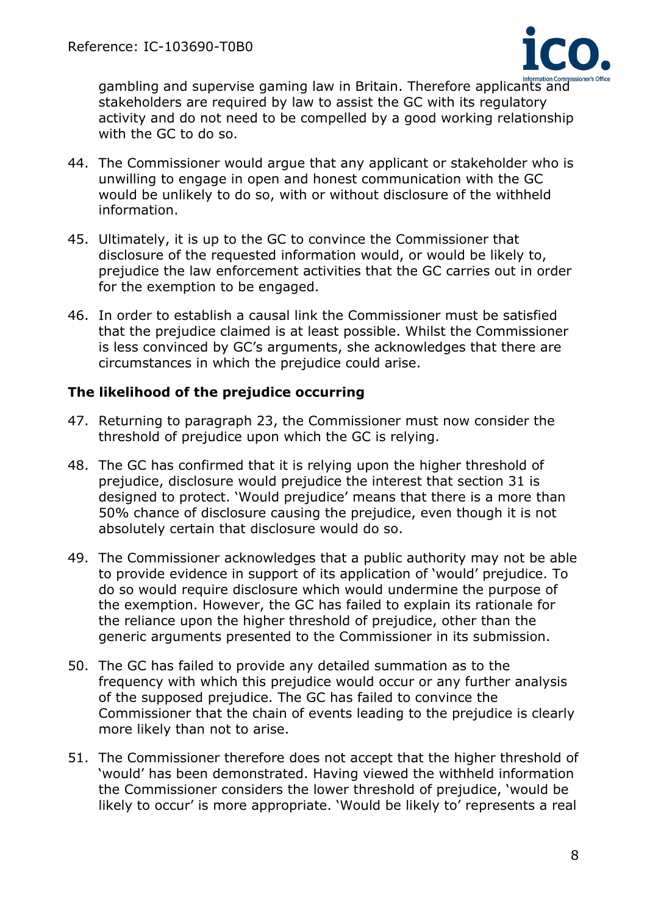

gambling and supervise gaming law in Britain. Therefore applicants and stakeholders are required by law to assist the GC with its regulatory activity and do not need to be compelled by a good working relationship with the GC to do so.

- 44. The Commissioner would argue that any applicant or stakeholder who is unwilling to engage in open and honest communication with the GC would be unlikely to do so, with or without disclosure of the withheld information.
- 45. Ultimately, it is up to the GC to convince the Commissioner that disclosure of the requested information would, or would be likely to, prejudice the law enforcement activities that the GC carries out in order for the exemption to be engaged.
- 46. In order to establish a causal link the Commissioner must be satisfied that the prejudice claimed is at least possible. Whilst the Commissioner is less convinced by GC's arguments, she acknowledges that there are circumstances in which the prejudice could arise.

## **The likelihood of the prejudice occurring**

- 47. Returning to paragraph 23, the Commissioner must now consider the threshold of prejudice upon which the GC is relying.
- 48. The GC has confirmed that it is relying upon the higher threshold of prejudice, disclosure would prejudice the interest that section 31 is designed to protect. 'Would prejudice' means that there is a more than 50% chance of disclosure causing the prejudice, even though it is not absolutely certain that disclosure would do so.
- 49. The Commissioner acknowledges that a public authority may not be able to provide evidence in support of its application of 'would' prejudice. To do so would require disclosure which would undermine the purpose of the exemption. However, the GC has failed to explain its rationale for the reliance upon the higher threshold of prejudice, other than the generic arguments presented to the Commissioner in its submission.
- 50. The GC has failed to provide any detailed summation as to the frequency with which this prejudice would occur or any further analysis of the supposed prejudice. The GC has failed to convince the Commissioner that the chain of events leading to the prejudice is clearly more likely than not to arise.
- 51. The Commissioner therefore does not accept that the higher threshold of 'would' has been demonstrated. Having viewed the withheld information the Commissioner considers the lower threshold of prejudice, 'would be likely to occur' is more appropriate. 'Would be likely to' represents a real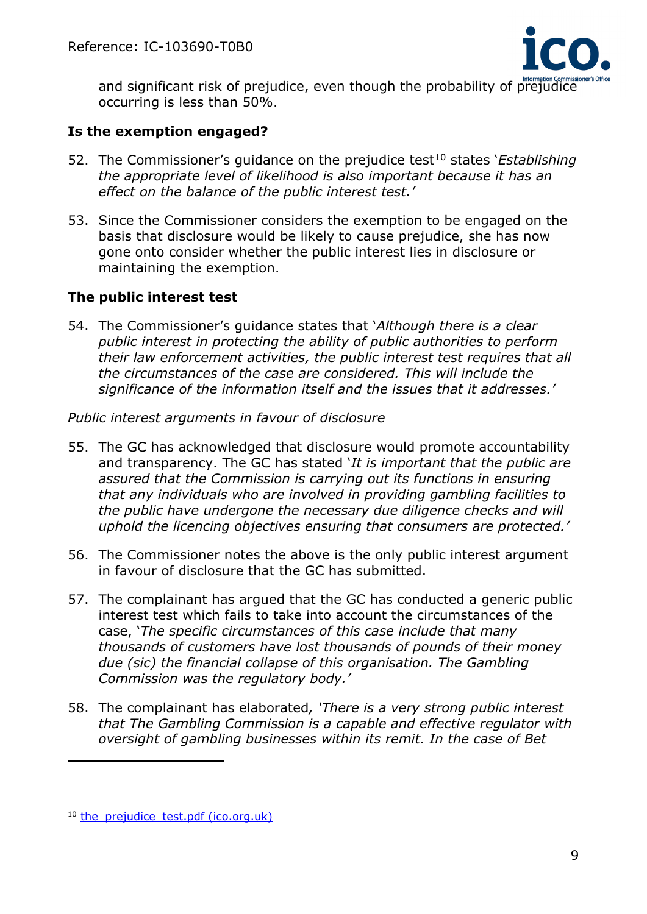

and significant risk of prejudice, even though the probability of prejudice occurring is less than 50%.

## **Is the exemption engaged?**

- 52. The Commissioner's quidance on the prejudice test<sup>[10](#page-8-0)</sup> states *'Establishing the appropriate level of likelihood is also important because it has an effect on the balance of the public interest test.'*
- 53. Since the Commissioner considers the exemption to be engaged on the basis that disclosure would be likely to cause prejudice, she has now gone onto consider whether the public interest lies in disclosure or maintaining the exemption.

## **The public interest test**

54. The Commissioner's guidance states that '*Although there is a clear public interest in protecting the ability of public authorities to perform their law enforcement activities, the public interest test requires that all the circumstances of the case are considered. This will include the significance of the information itself and the issues that it addresses.'*

#### *Public interest arguments in favour of disclosure*

- 55. The GC has acknowledged that disclosure would promote accountability and transparency. The GC has stated '*It is important that the public are assured that the Commission is carrying out its functions in ensuring that any individuals who are involved in providing gambling facilities to the public have undergone the necessary due diligence checks and will uphold the licencing objectives ensuring that consumers are protected.'*
- 56. The Commissioner notes the above is the only public interest argument in favour of disclosure that the GC has submitted.
- 57. The complainant has argued that the GC has conducted a generic public interest test which fails to take into account the circumstances of the case, '*The specific circumstances of this case include that many thousands of customers have lost thousands of pounds of their money due (sic) the financial collapse of this organisation. The Gambling Commission was the regulatory body.'*
- 58. The complainant has elaborated*, 'There is a very strong public interest that The Gambling Commission is a capable and effective regulator with oversight of gambling businesses within its remit. In the case of Bet*

<span id="page-8-0"></span><sup>&</sup>lt;sup>10</sup> the prejudice test.pdf (ico.org.uk)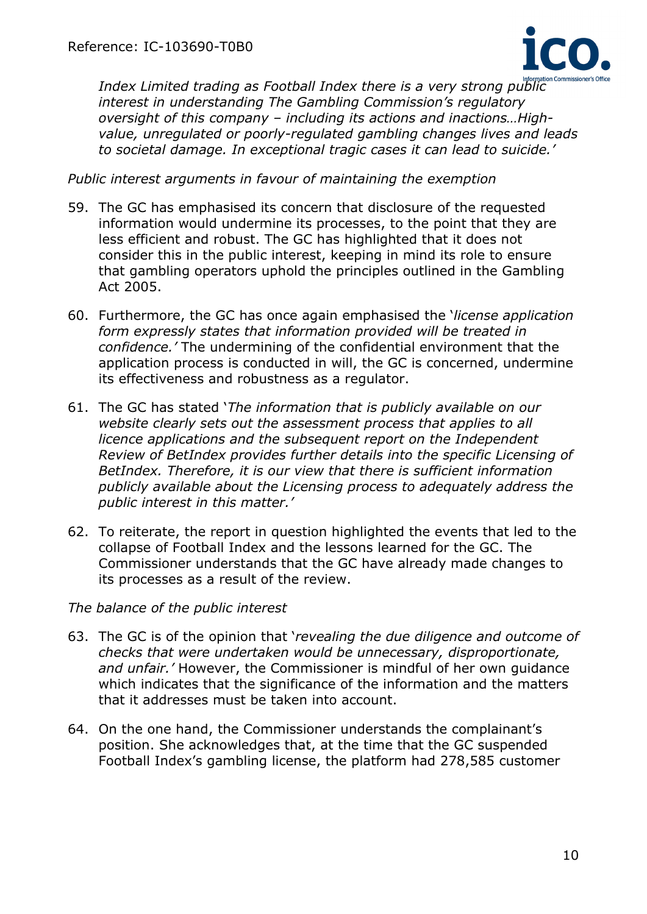

*Index Limited trading as Football Index there is a very strong public interest in understanding The Gambling Commission's regulatory oversight of this company – including its actions and inactions…Highvalue, unregulated or poorly-regulated gambling changes lives and leads to societal damage. In exceptional tragic cases it can lead to suicide.'*

*Public interest arguments in favour of maintaining the exemption*

- 59. The GC has emphasised its concern that disclosure of the requested information would undermine its processes, to the point that they are less efficient and robust. The GC has highlighted that it does not consider this in the public interest, keeping in mind its role to ensure that gambling operators uphold the principles outlined in the Gambling Act 2005.
- 60. Furthermore, the GC has once again emphasised the '*license application form expressly states that information provided will be treated in confidence.'* The undermining of the confidential environment that the application process is conducted in will, the GC is concerned, undermine its effectiveness and robustness as a regulator.
- 61. The GC has stated '*The information that is publicly available on our website clearly sets out the assessment process that applies to all licence applications and the subsequent report on the Independent Review of BetIndex provides further details into the specific Licensing of BetIndex. Therefore, it is our view that there is sufficient information publicly available about the Licensing process to adequately address the public interest in this matter.'*
- 62. To reiterate, the report in question highlighted the events that led to the collapse of Football Index and the lessons learned for the GC. The Commissioner understands that the GC have already made changes to its processes as a result of the review.

*The balance of the public interest*

- 63. The GC is of the opinion that '*revealing the due diligence and outcome of checks that were undertaken would be unnecessary, disproportionate, and unfair.'* However, the Commissioner is mindful of her own guidance which indicates that the significance of the information and the matters that it addresses must be taken into account.
- 64. On the one hand, the Commissioner understands the complainant's position. She acknowledges that, at the time that the GC suspended Football Index's gambling license, the platform had 278,585 customer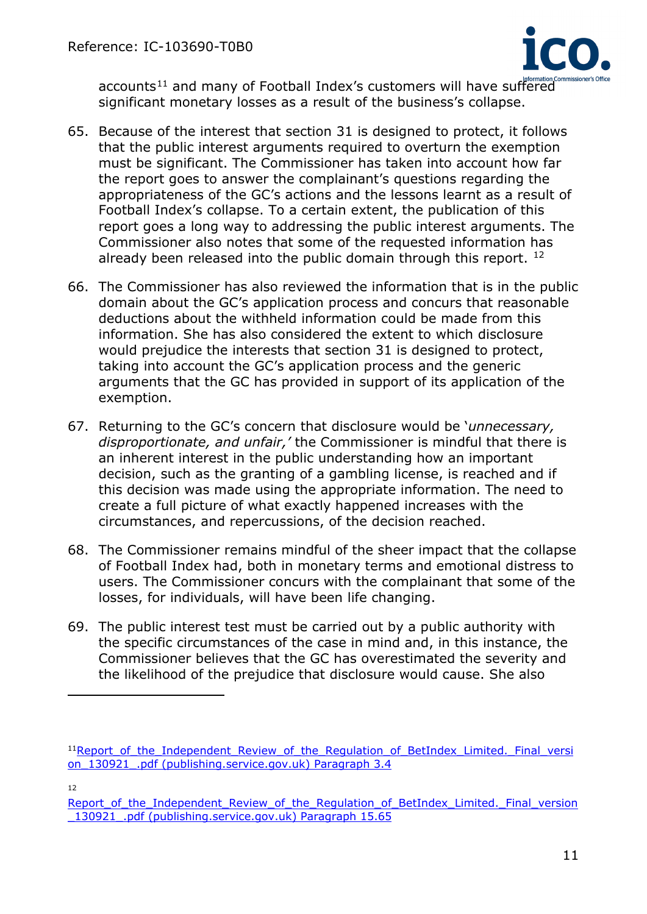

accounts<sup>[11](#page-10-0)</sup> and many of Football Index's customers will have suffered significant monetary losses as a result of the business's collapse.

- 65. Because of the interest that section 31 is designed to protect, it follows that the public interest arguments required to overturn the exemption must be significant. The Commissioner has taken into account how far the report goes to answer the complainant's questions regarding the appropriateness of the GC's actions and the lessons learnt as a result of Football Index's collapse. To a certain extent, the publication of this report goes a long way to addressing the public interest arguments. The Commissioner also notes that some of the requested information has already been released into the public domain through this report. <sup>[12](#page-10-1)</sup>
- 66. The Commissioner has also reviewed the information that is in the public domain about the GC's application process and concurs that reasonable deductions about the withheld information could be made from this information. She has also considered the extent to which disclosure would prejudice the interests that section 31 is designed to protect, taking into account the GC's application process and the generic arguments that the GC has provided in support of its application of the exemption.
- 67. Returning to the GC's concern that disclosure would be '*unnecessary, disproportionate, and unfair,'* the Commissioner is mindful that there is an inherent interest in the public understanding how an important decision, such as the granting of a gambling license, is reached and if this decision was made using the appropriate information. The need to create a full picture of what exactly happened increases with the circumstances, and repercussions, of the decision reached.
- 68. The Commissioner remains mindful of the sheer impact that the collapse of Football Index had, both in monetary terms and emotional distress to users. The Commissioner concurs with the complainant that some of the losses, for individuals, will have been life changing.
- 69. The public interest test must be carried out by a public authority with the specific circumstances of the case in mind and, in this instance, the Commissioner believes that the GC has overestimated the severity and the likelihood of the prejudice that disclosure would cause. She also

12

<span id="page-10-0"></span><sup>&</sup>lt;sup>11</sup>Report\_of\_the\_Independent\_Review\_of\_the\_Regulation\_of\_BetIndex\_Limited.\_Final\_versi on 130921 .pdf (publishing.service.gov.uk) Paragraph 3.4

<span id="page-10-1"></span>Report of the Independent Review of the Regulation of BetIndex Limited. Final version \_130921\_.pdf (publishing.service.gov.uk) Paragraph 15.65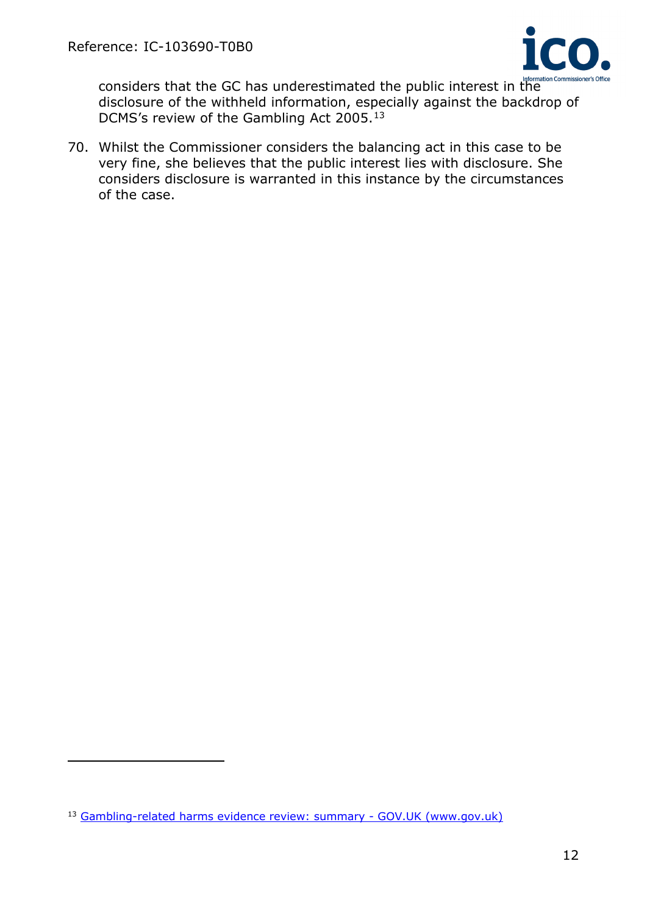

considers that the GC has underestimated the public interest in the disclosure of the withheld information, especially against the backdrop of DCMS's review of the Gambling Act 2005.[13](#page-11-0)

70. Whilst the Commissioner considers the balancing act in this case to be very fine, she believes that the public interest lies with disclosure. She considers disclosure is warranted in this instance by the circumstances of the case.

<span id="page-11-0"></span><sup>13</sup> Gambling-related harms evidence review: summary - GOV.UK (www.gov.uk)